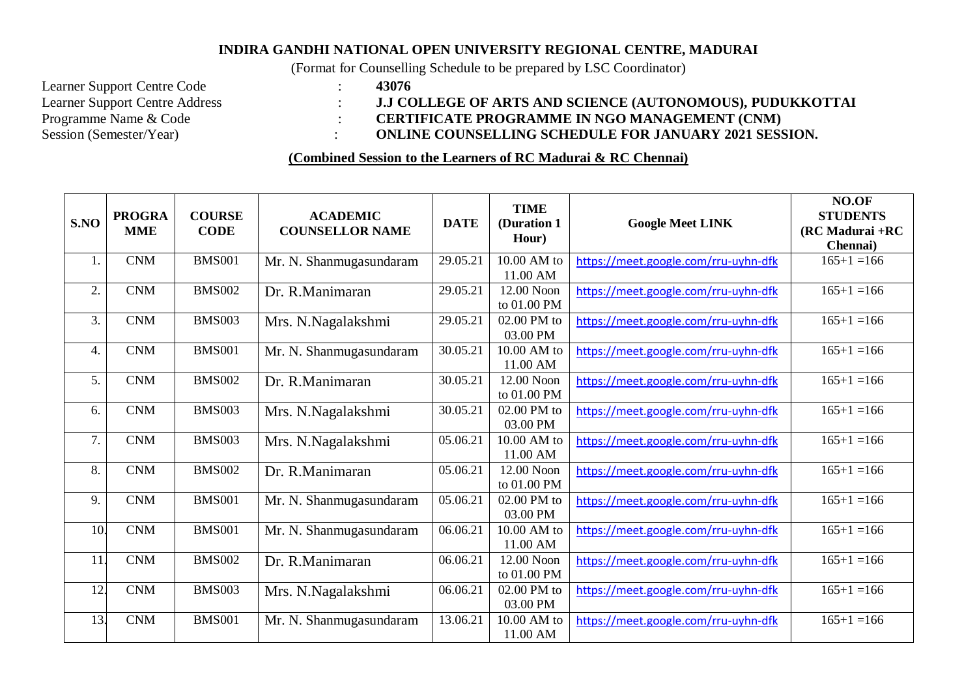## **INDIRA GANDHI NATIONAL OPEN UNIVERSITY REGIONAL CENTRE, MADURAI**

(Format for Counselling Schedule to be prepared by LSC Coordinator)

Learner Support Centre Code : **43076**<br>
Learner Support Centre Address : **43076**<br>
: **1.J CC** 

## Learner Support Centre Address : **J.J COLLEGE OF ARTS AND SCIENCE (AUTONOMOUS), PUDUKKOTTAI**<br>Programme Name & Code : **CERTIFICATE PROGRAMME IN NGO MANAGEMENT (CNM)** Programme Name & Code : **CERTIFICATE PROGRAMME IN NGO MANAGEMENT (CNM)**<br>Session (Semester/Year) : **CONLINE COUNSELLING SCHEDULE FOR JANUARY 2021 SESS**  $\cdot$  **ONLINE COUNSELLING SCHEDULE FOR JANUARY 2021 SESSION.**

**(Combined Session to the Learners of RC Madurai & RC Chennai)**

| S.NO | <b>PROGRA</b><br><b>MME</b> | <b>COURSE</b><br><b>CODE</b> | <b>ACADEMIC</b><br><b>COUNSELLOR NAME</b> | <b>DATE</b> | <b>TIME</b><br>(Duration 1<br>Hour) | <b>Google Meet LINK</b>              | NO.OF<br><b>STUDENTS</b><br>$(RCMadurai + RC)$<br>Chennai) |
|------|-----------------------------|------------------------------|-------------------------------------------|-------------|-------------------------------------|--------------------------------------|------------------------------------------------------------|
| 1.   | <b>CNM</b>                  | <b>BMS001</b>                | Mr. N. Shanmugasundaram                   | 29.05.21    | 10.00 AM to<br>11.00 AM             | https://meet.google.com/rru-uyhn-dfk | $165+1=166$                                                |
| 2.   | <b>CNM</b>                  | <b>BMS002</b>                | Dr. R.Manimaran                           | 29.05.21    | 12.00 Noon<br>to 01.00 PM           | https://meet.google.com/rru-uyhn-dfk | $165+1=166$                                                |
| 3.   | CNM                         | <b>BMS003</b>                | Mrs. N.Nagalakshmi                        | 29.05.21    | 02.00 PM to<br>03.00 PM             | https://meet.google.com/rru-uyhn-dfk | $165+1=166$                                                |
| 4.   | <b>CNM</b>                  | <b>BMS001</b>                | Mr. N. Shanmugasundaram                   | 30.05.21    | 10.00 AM to<br>11.00 AM             | https://meet.google.com/rru-uyhn-dfk | $165+1=166$                                                |
| 5.   | CNM                         | <b>BMS002</b>                | Dr. R.Manimaran                           | 30.05.21    | 12.00 Noon<br>to 01.00 PM           | https://meet.google.com/rru-uyhn-dfk | $165+1=166$                                                |
| 6.   | <b>CNM</b>                  | <b>BMS003</b>                | Mrs. N.Nagalakshmi                        | 30.05.21    | 02.00 PM to<br>03.00 PM             | https://meet.google.com/rru-uyhn-dfk | $165+1=166$                                                |
| 7.   | <b>CNM</b>                  | <b>BMS003</b>                | Mrs. N.Nagalakshmi                        | 05.06.21    | 10.00 AM to<br>11.00 AM             | https://meet.google.com/rru-uyhn-dfk | $165+1=166$                                                |
| 8.   | <b>CNM</b>                  | <b>BMS002</b>                | Dr. R.Manimaran                           | 05.06.21    | 12.00 Noon<br>to 01.00 PM           | https://meet.google.com/rru-uyhn-dfk | $165+1=166$                                                |
| 9.   | <b>CNM</b>                  | <b>BMS001</b>                | Mr. N. Shanmugasundaram                   | 05.06.21    | 02.00 PM to<br>03.00 PM             | https://meet.google.com/rru-uyhn-dfk | $165+1=166$                                                |
| 10.  | $\mathbf{CNM}$              | <b>BMS001</b>                | Mr. N. Shanmugasundaram                   | 06.06.21    | 10.00 AM to<br>11.00 AM             | https://meet.google.com/rru-uyhn-dfk | $165+1=166$                                                |
| 11.  | <b>CNM</b>                  | <b>BMS002</b>                | Dr. R.Manimaran                           | 06.06.21    | 12.00 Noon<br>to 01.00 PM           | https://meet.google.com/rru-uyhn-dfk | $165+1=166$                                                |
| 12.  | <b>CNM</b>                  | <b>BMS003</b>                | Mrs. N.Nagalakshmi                        | 06.06.21    | 02.00 PM to<br>03.00 PM             | https://meet.google.com/rru-uyhn-dfk | $165+1=166$                                                |
| 13.  | CNM                         | <b>BMS001</b>                | Mr. N. Shanmugasundaram                   | 13.06.21    | 10.00 AM to<br>11.00 AM             | https://meet.google.com/rru-uyhn-dfk | $165+1=166$                                                |